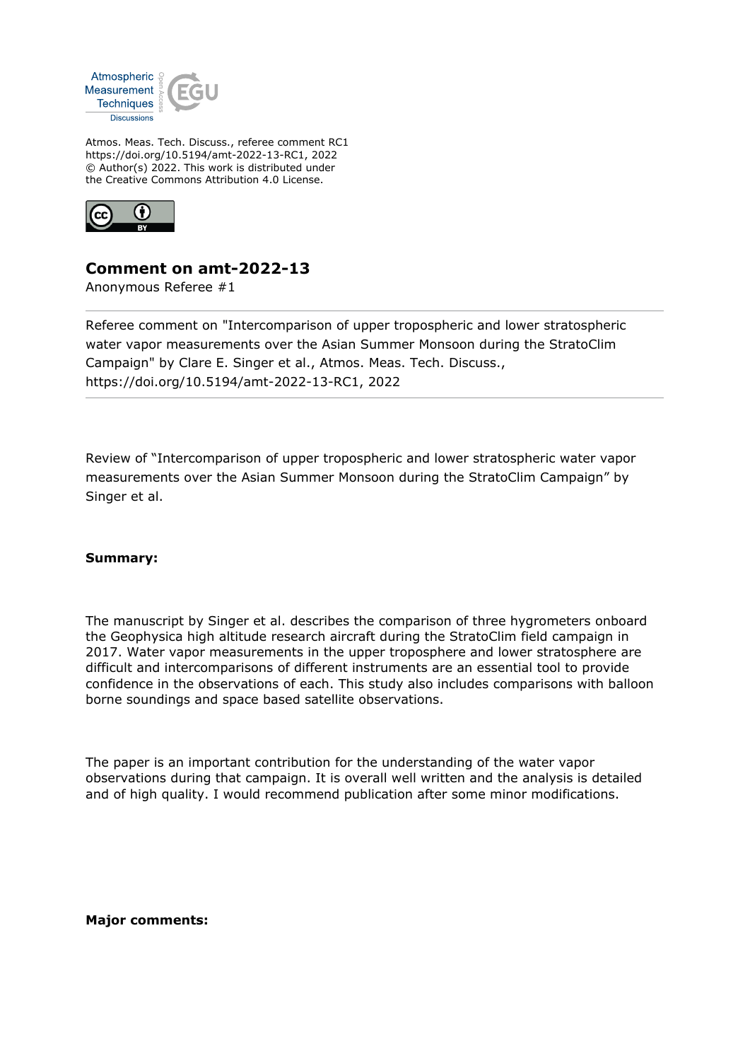

Atmos. Meas. Tech. Discuss., referee comment RC1 https://doi.org/10.5194/amt-2022-13-RC1, 2022 © Author(s) 2022. This work is distributed under the Creative Commons Attribution 4.0 License.



## **Comment on amt-2022-13**

Anonymous Referee #1

Referee comment on "Intercomparison of upper tropospheric and lower stratospheric water vapor measurements over the Asian Summer Monsoon during the StratoClim Campaign" by Clare E. Singer et al., Atmos. Meas. Tech. Discuss., https://doi.org/10.5194/amt-2022-13-RC1, 2022

Review of "Intercomparison of upper tropospheric and lower stratospheric water vapor measurements over the Asian Summer Monsoon during the StratoClim Campaign" by Singer et al.

## **Summary:**

The manuscript by Singer et al. describes the comparison of three hygrometers onboard the Geophysica high altitude research aircraft during the StratoClim field campaign in 2017. Water vapor measurements in the upper troposphere and lower stratosphere are difficult and intercomparisons of different instruments are an essential tool to provide confidence in the observations of each. This study also includes comparisons with balloon borne soundings and space based satellite observations.

The paper is an important contribution for the understanding of the water vapor observations during that campaign. It is overall well written and the analysis is detailed and of high quality. I would recommend publication after some minor modifications.

**Major comments:**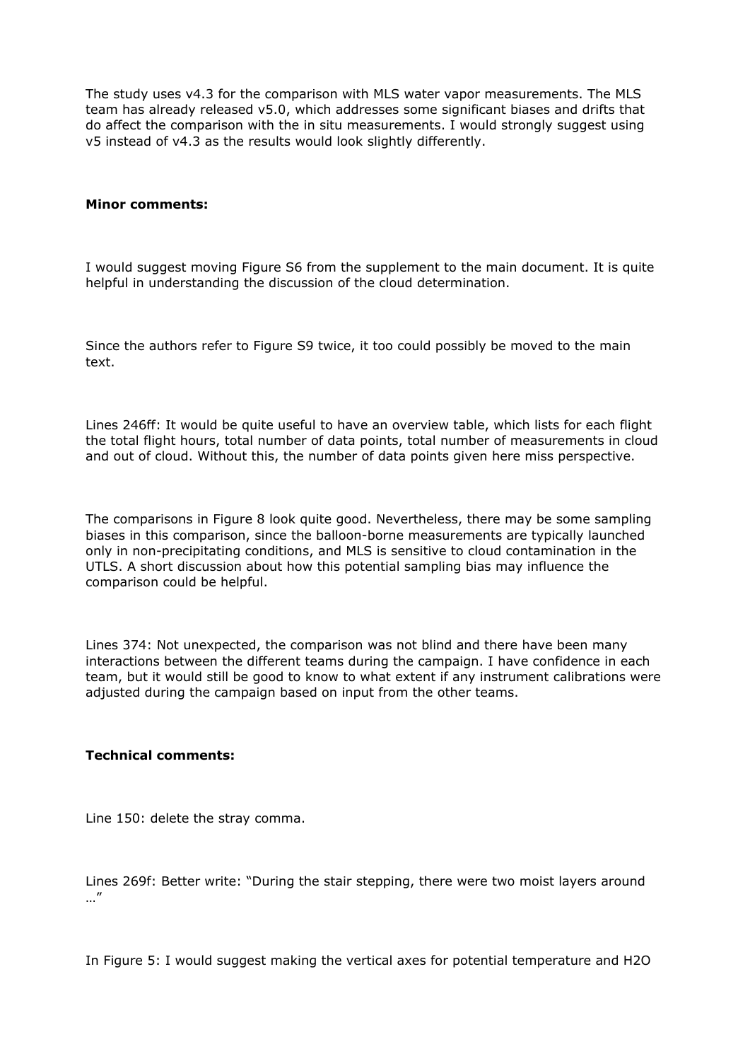The study uses v4.3 for the comparison with MLS water vapor measurements. The MLS team has already released v5.0, which addresses some significant biases and drifts that do affect the comparison with the in situ measurements. I would strongly suggest using v5 instead of v4.3 as the results would look slightly differently.

## **Minor comments:**

I would suggest moving Figure S6 from the supplement to the main document. It is quite helpful in understanding the discussion of the cloud determination.

Since the authors refer to Figure S9 twice, it too could possibly be moved to the main text.

Lines 246ff: It would be quite useful to have an overview table, which lists for each flight the total flight hours, total number of data points, total number of measurements in cloud and out of cloud. Without this, the number of data points given here miss perspective.

The comparisons in Figure 8 look quite good. Nevertheless, there may be some sampling biases in this comparison, since the balloon-borne measurements are typically launched only in non-precipitating conditions, and MLS is sensitive to cloud contamination in the UTLS. A short discussion about how this potential sampling bias may influence the comparison could be helpful.

Lines 374: Not unexpected, the comparison was not blind and there have been many interactions between the different teams during the campaign. I have confidence in each team, but it would still be good to know to what extent if any instrument calibrations were adjusted during the campaign based on input from the other teams.

## **Technical comments:**

Line 150: delete the stray comma.

Lines 269f: Better write: "During the stair stepping, there were two moist layers around …"

In Figure 5: I would suggest making the vertical axes for potential temperature and H2O